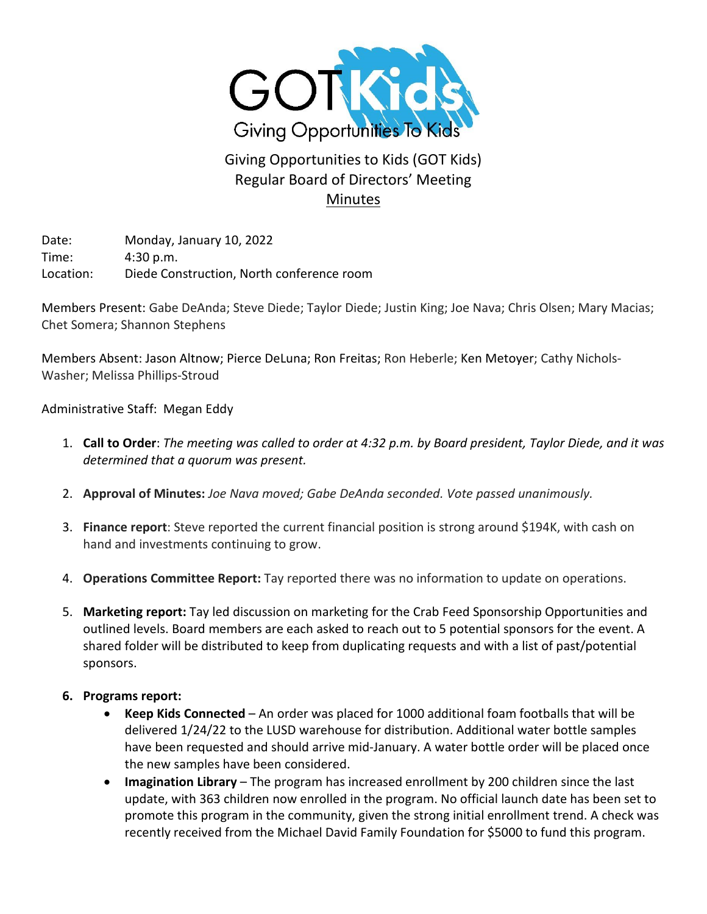

## Giving Opportunities to Kids (GOT Kids) Regular Board of Directors' Meeting **Minutes**

Date: Monday, January 10, 2022 Time: 4:30 p.m. Location: Diede Construction, North conference room

Members Present: Gabe DeAnda; Steve Diede; Taylor Diede; Justin King; Joe Nava; Chris Olsen; Mary Macias; Chet Somera; Shannon Stephens

Members Absent: Jason Altnow; Pierce DeLuna; Ron Freitas; Ron Heberle; Ken Metoyer; Cathy Nichols-Washer; Melissa Phillips-Stroud

Administrative Staff: Megan Eddy

- 1. **Call to Order**: *The meeting was called to order at 4:32 p.m. by Board president, Taylor Diede, and it was determined that a quorum was present.*
- 2. **Approval of Minutes:** *Joe Nava moved; Gabe DeAnda seconded. Vote passed unanimously.*
- 3. **Finance report**: Steve reported the current financial position is strong around \$194K, with cash on hand and investments continuing to grow.
- 4. **Operations Committee Report:** Tay reported there was no information to update on operations.
- 5. **Marketing report:** Tay led discussion on marketing for the Crab Feed Sponsorship Opportunities and outlined levels. Board members are each asked to reach out to 5 potential sponsors for the event. A shared folder will be distributed to keep from duplicating requests and with a list of past/potential sponsors.
- **6. Programs report:**
	- **Keep Kids Connected**  An order was placed for 1000 additional foam footballs that will be delivered 1/24/22 to the LUSD warehouse for distribution. Additional water bottle samples have been requested and should arrive mid-January. A water bottle order will be placed once the new samples have been considered.
	- **Imagination Library** The program has increased enrollment by 200 children since the last update, with 363 children now enrolled in the program. No official launch date has been set to promote this program in the community, given the strong initial enrollment trend. A check was recently received from the Michael David Family Foundation for \$5000 to fund this program.